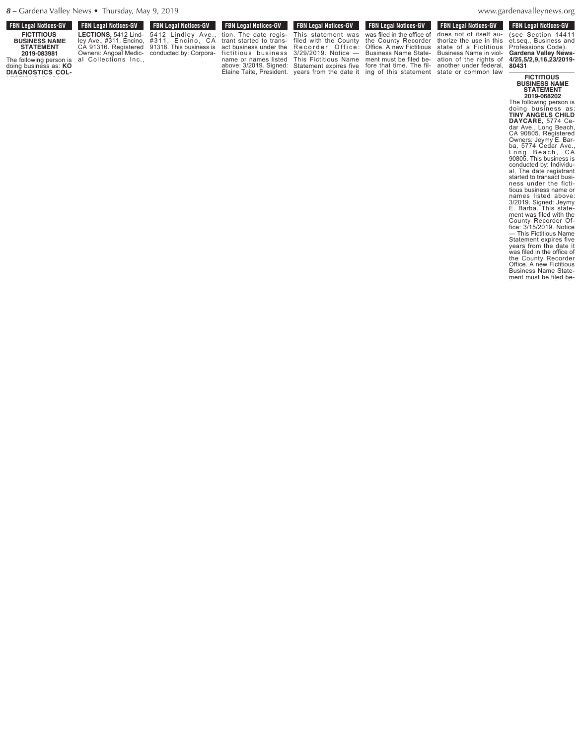| <b>FBN Legal Notices-GV</b>                  | <b>FBN Legal Notices-GV</b> | <b>FBN Legal Notices-GV</b> | <b>FBN Legal Notices-GV</b>                                                                                                                              | <b>FBN Legal Notices-GV</b> | <b>FBN Legal Notices-GV</b> | <b>FBN Legal Notices-GV</b>                                                                                    | <b>FBN Legal Notices-GV</b> |
|----------------------------------------------|-----------------------------|-----------------------------|----------------------------------------------------------------------------------------------------------------------------------------------------------|-----------------------------|-----------------------------|----------------------------------------------------------------------------------------------------------------|-----------------------------|
| <b>FICTITIOUS</b>                            |                             |                             | LECTIONS, 5412 Lind- 5412 Lindley Ave., tion. The date regis- This statement was was filed in the office of does not of itself au- (see Section 14411    |                             |                             |                                                                                                                |                             |
| <b>BUSINESS NAME</b>                         |                             |                             | ley Ave., #311, Encino, #311, Encino, CA trant started to trans- filed with the County the County Recorder thorize the use in this et.seq., Business and |                             |                             |                                                                                                                |                             |
| <b>STATEMENT</b>                             |                             |                             | CA 91316. Registered 91316. This business is act business under the Recorder Office: Office. A new Fictitious state of a Fictitious Professions Code).   |                             |                             |                                                                                                                |                             |
| 2019-083981                                  |                             |                             | Owners: Angoal Medic- conducted by: Corpora- fictitious business 3/29/2019. Notice — Business Name State- Business Name in viol- Gardena Valley News-    |                             |                             |                                                                                                                |                             |
| The following person is al Collections Inc., |                             |                             |                                                                                                                                                          |                             |                             | name or names listed This Fictitious Name ment must be filed be- ation of the rights of 4/25,5/2,9,16,23/2019- |                             |
| doing business as: KO                        |                             |                             |                                                                                                                                                          |                             |                             | above: 3/2019. Signed: Statement expires five fore that time. The fil- another under federal, 80431            |                             |
| <b>DIAGNOSTICS COL-</b>                      |                             |                             |                                                                                                                                                          |                             |                             | Elaine Taite, President. years from the date it ing of this statement state or common law                      | <b>EICTITIOUS</b>           |

This statement was

**FICTITIOUS BUSINESS NAME STATEMENT**

denavalleynews.org  $arctan \theta$  of the rights of  $\theta$ 

 $WWW.\overline{9}$ man<sub>d</sub>.

 $\zeta$ 

does not of itself au-

**2019-068202** The following person is doing business as: **TINY ANGELS CHILD DAYCARE,** 5774 Cedar Ave., Long Beach, CA 90805. Registered Owners: Jeymy E. Barba, 5774 Cedar Ave., Long Beach, CA 90805. This business is conducted by: Individual. The date registrant started to transact business under the fictitious business name or names listed above: 3/2019. Signed: Jeymy E. Barba. This statement was filed with the County Recorder Office: 3/15/2019. Notice — This Fictitious Name Statement expires five years from the date it was filed in the office of the County Recorder Office. A new Fictitious Business Name Statement must be filed be-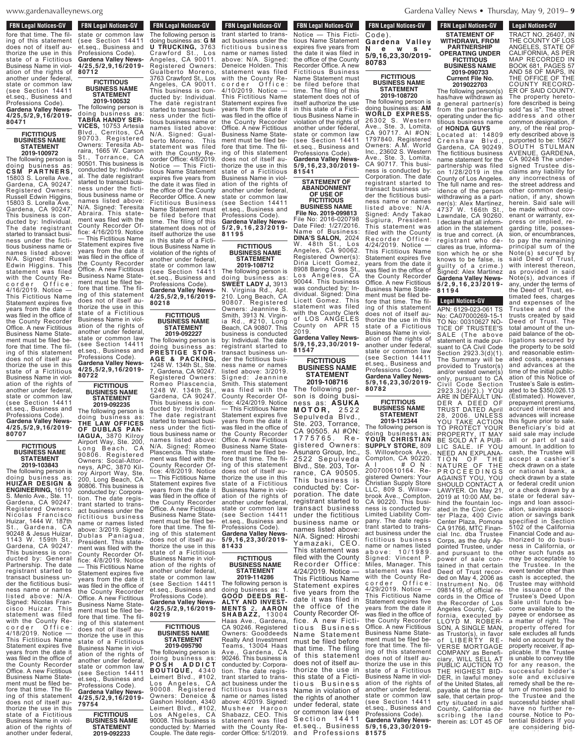$50<sup>2</sup>$  Figure of  $\frac{1}{2}$ www.gardenavalleynews.org  $\ldots$   $\ldots$   $\ldots$   $\ldots$   $\ldots$   $\ldots$   $\ldots$   $\ldots$   $\ldots$   $\ldots$   $\ldots$   $\ldots$   $\ldots$   $\ldots$   $\ldots$   $\ldots$   $\ldots$   $\ldots$   $\ldots$   $\ldots$   $\ldots$   $\ldots$   $\ldots$   $\ldots$   $\ldots$   $\ldots$   $\ldots$   $\ldots$   $\ldots$   $\ldots$   $\ldots$   $\ldots$   $\ldots$   $\ldots$   $\ldots$   $\ldots$   $\ldots$ 

## **FBN Legal Notices-GV FDN LEYAL NULLES-AV** fore that time. The filing of this statement

does not of itself authorize the use in this state of a Fictitious Business Name in violation of the rights of another under federal, state or common law (see Section 14411 et.seq., Business and Professions Code). **Gardena Valley News-4/25,5/2,9,16/2019- 80471**

### **FICTITIOUS BUSINESS NAME STATEMENT 2019-100972**

The following person is doing business as: **C S M P A R T N E R S,** 15803 S. Lorella Ave., Gardena, CA 90247. Registered Owners: Russell Edwin Higgins, 15803 S. Lorella Ave., Gardena, CA 90247. This business is conducted by: Individual. The date registrant started to transact business under the fictitious business name or names listed above: N/A. Signed: Russell Edwin Higgins. This statement was filed with the County Recorder Office: 4/16/2019. Notice — This Fictitious Name Statement expires five years from the date it was filed in the office of the County Recorder Office. A new Fictitious Business Name Statement must be filed before that time. The filing of this statement does not of itself authorize the use in this state of a Fictitious Business Name in violation of the rights of another under federal, state or common law (see Section 14411 et.seq., Business and Professions Code). **Gardena Valley** Ne **4/25,5/2,9,16/2019-**

# **FICTITIOUS BUSINESS NAME STATEMENT**

**80707**

**2019-103843** The following person is doing business as: **HUIZAR DESIGN & ENGINEERING,** 16110 S. Menlo Ave., Ste. 11, Gardena, CA 90247. Registered Owners: Nicolas Francisco Huizar, 1444 W. 187th St., Gardena, CA 90248 & Jesus Huizar, <sup>1143</sup> W. 159th St., Gardena, CA 90247. This business is conducted by: General Partnership. The date registrant started to transact business under the fictitious business name or names listed above: N/A. Signed: Nicolas Francisco Huizar. This statement was filed with the County Recorder Office: 4/18/2019. Notice — This Fictitious Name Statement expires five years from the date it was filed in the office of the County Recorder Office. A new Fictitious Business Name Statement must be filed before that time. The filing of this statement does not of itself authorize the use in this state of a Fictitious Business Name in violation of the rights of another under federal,

**FBN Legal Notices-GV TEN LEGAL NULLES-GV** state or common law (see Section 14411 et.seq., Business and Professions Code). **Gardena Valley News-4/25,5/2,9,16/2019- 80712**

### **FICTITIOUS BUSINESS NAME STATEMENT 2019-100532**

The date registrant started to transact business under the fictitious business name or names listed above: N/A. Signed: Gualberto Moreno. This statement was filed with the County Recorder Office: 4/8/2019. Notice — This Fictitious Name Statement expires five years from the date it was filed in the office of the County Recorder Office. A new Fictitious Business Name Statement must be filed before that time. The filing of this statement does not of itself authorize the use in this state of a Fictitious Business Name in violation of the rights of another under federal, state or common law (see Section 14411 et.seq., Business and Professions Code). **Gardena Valley News-4/25,5/2,9,16/2019- 80218 FICTITIOUS BUSINESS NAME STATEMENT** The following person is doing business as: **TABRA HANDY SER-VICES**, 10753 Artesia<br>Blyd., Cerritos, CA Cerritos, CA 90703. Registered Owners: Teresita Abraira, 1665 W. Carson St., Torrance, CA 90501. This business is conducted by: Individual. The date registrant started to transact business under the fictitious business name or names listed above: N/A. Signed: Teresita Abraira. This statement was filed with the County Recorder Office: 4/16/2019. Notice — This Fictitious Name Statement expires five years from the date it was filed in the office of the County Recorder Office. A new Fictitious Business Name Statement must be filed before that time. The filing of this statement does not of itself authorize the use in this state of a Fictitious Business Name in viol-

ation of the rights of another under federal, state or common law (see Section 14411 et.seq., Business and Professions Code). **Gardena Valley News-4/25,5/2,9,16/2019- 80722**

### **FICTITIOUS BUSINESS NAME STATEMENT 2019-092235**

The date registrant started to transact business under the fictitious business name or names listed above: N/A. Signed: Romeo Plascencia. This statement was filed with the County Recorder Of-<br>fice: 4/8/2019. Notice — This Fictitious Name Statement expires five years from the date it was filed in the office of the County Recorder Office. A new Fictitious Business Name Statement must be filed before that time. The filing of this statement does not of itself au-thorize the use in this state of a Fictitious Business Name in violation of the rights of another under federal, state or common law (see Section 14411 et.seq., Business and Professions Code). **Gardena Valley News-4/25,5/2,9,16/2019- 80219 BUSINESS NAME** The following person is doing business as: **P O S H A D D I C T B O U T I Q U E,** 4 3 4 0 Leimert Blvd., #102, Los Angeles, CA 90008. Registered The following person is doing business as: **THE LAW OFFICES OF DUBLAS PAN-IAGUA,** 3870 Kilroy Airport Way, Ste. 200, Long Beach, CA 90806. Registered Owners: Socal-Attorneys, APC, 3870 Kilroy Airport Way, Ste. 200, Long Beach, CA 90806. This business is conducted by: Corporation. The date registrant started to transact business under the fictitious business name or names listed above: 3/2019. Signed: Dublas Paniagua,<br>President. This statement was filed with the County Recorder Office: 4/8/2019. Notice — This Fictitious Name Statement expires five years from the date it was filed in the office of the County Recorder Office. A new Fictitious Business Name Statement must be filed before that time. The filing of this statement does not of itself authorize the use in this state of a Fictitious Business Name in violation of the rights of another under federal, state or common law (see Section 14411 et.seq., Business and Professions Code). **Gardena Valley News-**

**79754 FICTITIOUS BUSINESS NAME STATEMENT 2019-092233**

**4/25,5/2,9,16/2019-**

**FBN Legal Notices-GV COUPLE TO A LEGAL MULLES-GV** trant started to transact business under the fictitious business name or names listed above: N/A. Signed: Deneice Holden. This statement was filed with the County Recorder Office: corder Office: 4/10/2019. Notice — This Fictitious Name Statement expires five years from the date it was filed in the office of the County Recorder Office. A new Fictitious Business Name Statement must be filed before that time. The filing of this statement does not of itself authorize the use in this state of a Fictitious Business Name in violation of the rights of another under federal, state or common law (see Section 14411 et.seq., Business and Professions Code). **Gardena Valley News-5 / 2 , 9 , 1 6 , 2 3 / 2 0 1 9 - 8 1 1 9 5 FBN Legal Notices-GV STATEMENT** The following person is<br>doing business as: **G M** doing business as: **G M U TRUCKING,** 3763 Crawford St., Los Angeles, CA 90011. Registered Owners: Gualberto Moreno, 3763 Crawford St., Los Angeles, CA 90011. This business is conducted by: Individual.

**2019-092233**

**2019-092227**

**FICTITIOUS**

**STATEMENT 2019-095790**

Owners: Deneice & Gashon Holden, 4340 Leimert Blvd., #102, Los ANgeles, CA

conducted by: Married Couple. The date regis-<br>

### **FICTITIOUS BUSINESS NAME STATEMENT 2019-108712**

The following person is doing business as: **SWEET LADY J,** 3913 N. Virginia Rd., Apt. 210. Long Beach, CA 90807. Registered Owners: Jeannine S. Smith, 3913 N. Virginia Rd., #210, Long Beach, CA 90807. This business is conducted by: Individual. The date régistrant started to transact business under the fictitious business name or names listed above: 3/2019. Signed: Jeannine Smith. This statement was filed with the County Recorder Office: 4/24/2019. Notice — This Fictitious Name Statement expires five years from the date it was filed in the office of the County Recorder Office. A new Fictitious Business Name Statement must be filed before that time. The filing of this statement does not of itself authorize the use in this state of a Fictitious Business Name in violation of the rights of another under federal, state or common law (see Section 14411 et.seq., Business and Professions Code). **Gardena Valley News-5/9,16,23,30/2019-** The following person is doing business as: **PRESTIGE STOR-AGE & PACKING,** 1248 W. 134th St., Ste. 7, Gardena, CA 90247. Registered Owners: Romeo Plascencia, 1248 W. 134th St., Gardena, CA 90247. This business is conducted by: Individual. fice: 4/8/2019. Notice

### **FICTITIOUS BUSINESS NAME STATEMENT**

**81433**

**2019-114286** The following person is doing business as: **GOOD DEEDS RE-ALTY AND INVEST-MENTS** 2**. AARON S H A B A Z Z ,** 1 3 0 0 4 Haas Ave., Gardena, CA 90246. Registered Owners: Gooddeeds Realty And Investment Teams, 13004 Haas Ave., Gardena, CA 90246. This business is conducted by: Corporation. The date registrant started to transact business under the fictitious business name or names listed above: 4/2019. Signed: Musheer Haroon Shabazz, CEO. This statement was filed with the County Recorder Office: 5/1/2019. 90008. This business is

Code). **80783** The following person is doing business as: **AM WORLD EXPRESS,** 26302 S. Western Ave., Ste. 3, Lomita, **FBN Legal Notices-GV CONCESS CONCESS CONCESS FOR I** Notice — This Fictitious Name Statement expires five years from the date it was filed in the office of the County Recorder Office. A new Fictitious Business Name Statement must be filed before that time. The filing of this statement does not of itself authorize the use in this state of a Fictitious Business Name in violation of the rights of another under federal,

**FICTITIOUS BUSINESS NAME** STATEMENT **2019-108720**

CA 90717. AI #ON: 1797840. Registered Owners: A.M. World Inc., 23602 S. Western Ave., Ste. 3, Lomita, CA 90717. This business is conducted by: Corporation. The date registrant started to transact business under the fictitious busi-

listed above: N/A. Signed: Andy Takao Sugiura, President.

filed with the County Recorder Office: 4/24/2019. Notice —

was filed in the office of the County Recorder Office. A new Fictitious

Professions Code).

**FICTITIOUS BUSINESS NAME STATEMENT 2019-112344**

S. Willowbrook Ave.

trant started to trans-

ment must be filed be

Business Name in viol-

**80782**

state or common law (see Section 14411 et.seq., Business and Professions Code). **Gardena Valley News-5/9,16,23,30/2019- 81541**

**STATEMENT OF ABANDONMENT OF USE OF**

ness name or names This statement was This Fictitious Name Statement expires five years from the date it Business Name Statement must be filed before that time. The fil-**FICTITIOUS BUSINESS NAME File No. 2019-099813** File No: 2016-020798 Date Filed: 1/27/2016. Name of Business: **DINA'S SALON,** 2024 W. 48th St., Los Angeles, CA 90062. Registered Owner(s): Dina Licett Gomez, 8908 Baring Cross St., Los Angeles, CA 90044. This business was conducted by: Individual. Signed: Dina Licett Gomez. This statement was filed with the County Clerk of LOS ANGELES County on APR 15 2019. **Gardena Valley News-**

**FICTITIOUS BUSINESS NAME STATEMENT 2019-108716**

The following person is doing busi-

**5/9,16,23,30/2019-**

**81547**

**81575** ness as: **ASUKA M O T O R ,** 2 5 2 2 Sepulveda Blvd., Ste. 203, Torrance CA 90505. AI #ON: 1775765. gistered Owners: Asunaro Group, Inc., 2522 Sepul veda Blvd., Ste. 203, Torrance, CA 90505. This business is conducted by: Corporation. The date registrant started to transact business under the fictitious business name or names listed above: N/A. Signed: Hiroshi Yamazaki, CEO. This statement was filed with the County Recorder Office: 4/24/2019. Notice — This Fictitious Name Statement expires five years from the date it was filed in the office of the County Recorder Office. A new Fictitious Business Name Statement must be filed before that time. The filing of this statement thorize the use in<br>this state of a Fictitious Business Name in violation of the rights of another under federal, state or common law (see Section 14411 et.seq., Business and Professions

**Legal Notices-GV** 

Legal Nutries-GV TRACT NO. 26407, IN

**FBN Legal Notices-GV STATEMENT OF WITHDRAWL FROM PARTNERSHIP OPERATING UNDER FICTITIOUS BUSINESS NAME FBN Legal Notices-GV FBN Legal Notices-GV Gardena Valley N e w s - 5/9,16,23,30/2019-**

**2019-090733 Current File No. 2019022703** The following person(s)

has/have withdrawn as a general partner(s) from the partnership operating under the fictitious business name of **HONDA GUYS** Located at: 14809 Crenshaw Blvd., Gardena, CA 90249. The fictitious business name statement for the partnership was filed on 1/28/2019 in the County of Los Angeles. The full name and residence of the person withdrawing as a partner(s): Alex Martinez, 4737 W. 166th St., Lawndale, CA 90260. I declare that all information in the statement is true and correct. (A registrant who declares as true, information which he or she knows to be false, is guilty of a crime.) Signed: Alex Martinez **Gardena Valley News-5 / 2 , 9 , 1 6 , 2 3 / 2 0 1 9 - 8 1 1 9 4**

**Legal Notices-GV** APN: 6129-023-061 TS No: CA07000269-15-1 TO No: 00310627 NO-TICE OF TRUSTEE'S SALE (The above statement is made pursuant to CA Civil Code Section 2923.3(d)(1). The Summary will be provided to Trustor(s) and/or vested owner(s) only, pursuant to CA Civil Code Section 2923.3(d)(2).) YOU ARE IN DEFAULT UN-DER A DEED OF TRUST DATED April 28, 2006. UNLESS YOU TAKE ACTION TO PROTECT YOUR PROPERTY, IT MAY BE SOLD AT A PUB-LIC SALE. IF YOU NEED AN EXPLANA-TION OF THE NATURE OF THE P R O C E E D I N G S AGAINST YOU, YOU SHOULD CONTACT A LAWYER. On May 21, 2019 at 10:00 AM, behind the fountain located in the Civic Center Plaza, 400 Civic Center Plaza, Pomona CA 91766, MTC Financial Inc. dba Trustee Corps, as the duly Appointed Trustee, under and pursuant to the power of sale contained in that certain Deed of Trust recorded on May 4, 2006 as Instrument No. 06 0981419, of official records in the Office of the Recorder of Los Angeles County, California, executed by LLOYD M. ROBER-SON, A SINGLE MAN, as Trustor(s), in favor of LIBERTY RE-VERSE MORTGAGE COMPANY as Beneficiary, WILL SELL AT PUBLIC AUCTION TO THE HIGHEST BID-DER, in lawful money of the United States, all payable at the time of sale, that certain property situated in said County, California describing the land therein as: LOT 45 OF ing of this statement does not of itself authorize the use in this state of a Fictitious Business Name in violation of the rights of another under federal, state or common law (see Section 14411 et.seq., Business and **Gardena Valley News-5/9,16,23,30/2019-** The following person is doing business as: **YOUR CHRISTIAN SUPPLY STORE,** 809 Compton, CA 90220. A I # O N : 200700610164. Registered Owners: Your Christian Supply Store LLC, 809 S. Willow-<br>brook Ave., Compton, brook Ave., Compton, CA 90220. This business is conducted by: Limited Liability Company. The date regisact business under the fictitious business name or names listed<br>above:  $10/1989$ a b o v e : 1 0 / 1 9 8 9 . Signed: Vincent P. Miles, Manager. This statement was filed with the County Recorder Office: 4/29/2019. Notice — This Fictitious Name Statement expires five years from the date it was filed in the office of the County Recorder Office. A new Fictitious Business Name Statefore that time. The filing of this statement does not of itself authorize the use in this state of a Fictitious ation of the rights of<br>another under federal, another under federal,<br>state or common law (see Section 14411 et.seg., Business and Professions Code). **Gardena Valley News-5/9,16,23,30/2019-**

THE COUNTY OF LOS ANGELES, STATE OF CALIFORNIA, AS PER MAP RECORDED IN BOOK 681, PAGES 57 AND 58 OF MAPS, IN THE OFFICE OF THE COUNTY RECORD-ER OF SAID COUNTY. The property heretofore described is being sold "as is". The street address and other common designation, if any, of the real property described above is purported to be: 15627 SOUTH STULMAN AVENUE, GARDENA, CA 90248 The undersigned Trustee disclaims any liability for any incorrectness of the street address and other common designation, if any, shown herein. Said sale will be made without covenant or warranty, express or implied, regarding title, possession, or encumbrances, to pay the remaining principal sum of the Note(s) secured by said Deed of Trust. with interest thereon as provided in said Note(s), advances if any, under the terms of the Deed of Trust, estimated fees, charges and expenses of the Trustee and of the trusts created by said Deed of Trust. The total amount of the unpaid balance of the obligations secured by the property to be sold and reasonable estimated costs, expenses and advances at the time of the initial publication of this Notice of Trustee's Sale is estimated to be \$350,026.13 (Estimated). However, prepayment premiums, accrued interest and advances will increase this figure prior to sale. Beneficiary's bid at said sale may include all or part of said amount. In addition to cash, the Trustee will accept a cashier's check drawn on a state or national bank, a check drawn by a state or federal credit union or a check drawn by a state or federal savings and loan association, savings association or savings bank specified in Section 5102 of the California Financial Code and authorized to do busi-<br>ness in California, or other such funds as may be acceptable to the Trustee. In the event tender other than cash is accepted, the Trustee may withhold issuance of the Trustee's Deed Upon Sale until funds become available to the payee or endorsee as a matter of right. The property offered for sale excludes all funds held on account by the property receiver, if applicable. If the Trustee is unable to convey title for any reason, the successful bidder's sole and exclusive remedy shall be the return of monies paid to the Trustee and the successful bidder shall have no further recourse. Notice to Potential Bidders If you are considering bid-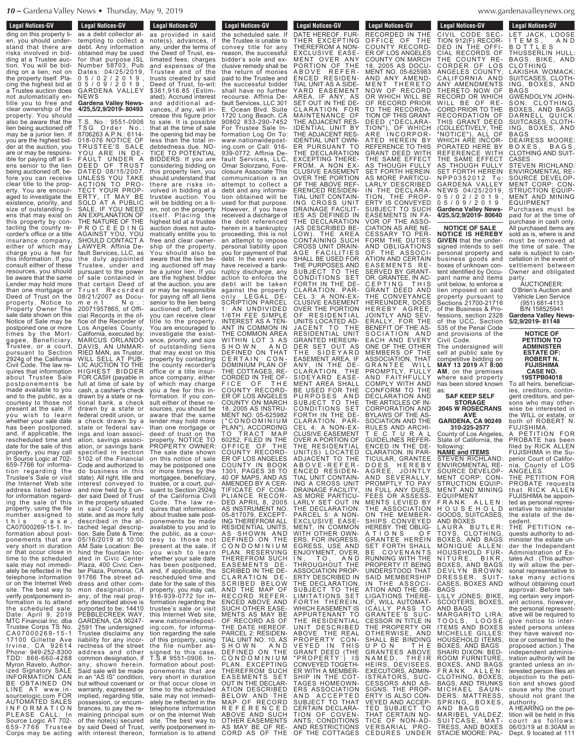### **Legal Notices-GV** Legal Nutices-GV ding on this property li-

en, you should understand that there are risks involved in bidding at a Trustee auction. You will be bidding on a lien, not on the property itself. Placing the highest bid at a Trustee auction does not automatically entitle you to free and clear ownership of the property. You should also be aware that the lien being auctioned off may be a junior lien. If you are the highest bidder at the auction, you are or may be responsible for paying off all liens senior to the lien being auctioned off, before you can receive clear title to the property. You are encouraged to investigate the existence, priority, and size of outstanding liens that may exist on this property by contacting the county recorder's office or a title insurance company, either of which may charge you a fee for this information. If you consult either of these resources, you should be aware that the same Lender may hold more than one mortgage or Deed of Trust on the property. Notice to Property Owner The sale date shown on this Notice of Sale may be postponed one or more times by the Mortgagee, Beneficiary, Trustee, or a court, pursuant to Section 2924g of the California Civil Code. The law requires that information about Trustee Sale postponements be made available to you and to the public, as a courtesy to those not present at the sale. If you wish to learn whether your sale date has been postponed, and, if applicable, the rescheduled time and date for the sale of this property, you may call In Source Logic at 702- 659-7766 for information regarding the Trustee's Sale or visit the Internet Web site address listed below for information regarding the sale of this property, using the file number assigned to this case, CA07000269-15-1. Information about postponements that are very short in duration or that occur close in time to the scheduled sale may not immediately be reflected in the telephone information or on the Internet Web site. The best way to verify postponement information is to attend the scheduled sale. Date: April 9, 2019 MTC Financial Inc. dba Trustee Corps TS No. C A0 7 0 0 0 2 6 9 - 1 5 - 1 17100 Gillette Ave Irvine, CA 92614<br>Phone: 949-252-8300 Phone: 949-252-8300 TDD: 866-660-4288 Myron Ravelo, Authorized Signatory SALE INFORMATION CAN BE OBTAINED ON LINE AT www.insourcelogic.com FOR AUTOMATED SALES I N F O R M A T I O N PLEASE CALL: In Source Logic AT 702- 659-7766 Trustee<br>Corps may be acting

### **Legal Notices-GV Example 1 Legal Notices-GV Legal Nutries-GV** as a debt collector attempting to collect a debt. Any information obtained may be used for that purpose.ISL Number 58703, Pub Dates: 04/25/2019, 0 5 / 0 2 / 2 0 1 9 , 0 5 / 0 9 / 2 0 1 9 , GARDENA VALLEY NEWS **Gardena Valley News-4/25,5/2,9/2019- 80493**

T.S. No.: 9551-0906 TSG Order No.: 8706263 A.P.N.: 6114- 018-076 NOTICE OF TRUSTEE'S SALE YOU ARE IN DE-FAULT UNDER A DEED OF TRUST DATED 08/15/2007. UNLESS YOU TAKE ACTION TO PRO-TECT YOUR PROP-ERTY, IT MAY BE SOLD AT A PUBLIC<br>SALE. IF YOU NEED SALE. IF YOU NEED AN EXPLANATION OF THE NATURE OF THE P R O C E E D I N G AGAINST YOU, YOU SHOULD CONTACT A LAWYER. Affinia Default Services, LLC, as the duly appointed Trustee, under and pursuant to the power of sale contained in that certain Deed of Trust Recorded 08/21/2007 as Docum e n t N o . : 20071957865, of Official Records in the office of the Recorder of Los Angeles County, California, executed by: MARCUS ORLANDO DAVIS, AN UNMAR-RIED MAN, as Trustor, WILL SELL AT PUB-LIC AUCTION TO THE HIGHEST BIDDER FOR CASH (payable in full at time of sale by cash, a cashier's check drawn by a state or national bank, a check drawn by a state or federal credit union, or check drawn by a state or federal savings and loan association, savings association, or savings bank specified in section 5102 of the Financial Code and authorized to do business in this state). All right, title and interest conveyed to and now held by it under said Deed of Trust in the property situated in said County and state, and as more fully described in the attached legal description. Sale Date & Time: 05/16/2019 at 10:00 AM Sale Location: Behind the fountain loc-ated in Civic Center Plaza, 400 Civic Center Plaza, Pomona, CA 91766 The street address and other common designation, if any, of the real property described above is purported to be: 14410 PEBBLECREEK WAY, GARDENA, CA 90247- 2591 The undersigned Trustee disclaims any liability for any incorrectness of the street address and other common designation, if any, shown herein. Said sale will be made in an "AS IS" condition, but without covenant or warranty, expressed or implied, regarding title, possession, or encumbrances, to pay the remaining principal sum of the note(s) secured with interest thereon,

**Eugene Number 1988** the scheduled sale. If the Trustee is unable to convey title for any reason, the successful bidder's sole and exclusive remedy shall be the return of monies paid to the Trustee and the successful bidder shall have no further recourse. Affinia Default Services, LLC 301 E. Ocean Blvd. Suite 1720 Long Beach, CA 90802 833-290-7452 For Trustee Sale Information Log On To: www.nationwideposting.com or Call: 916- 939-0772. Affinia Default Services, LLC, Omar Solorzano, Foreclosure Associate This communication is an attempt to collect a debt and any information obtained will be used for that purpose. However, if you have received a discharge of the debt referenced herein in a bankruptcy proceeding, this is not an attempt to impose personal liability upon you for payment of that debt. In the event you have received a bankruptcy discharge, any action to enforce the debt will be taken against the property only. LEGAL DE-SCRIPTION PARCEL 1: AN UNDIVIDED 1/6TH FEE SIMPLE INTEREST AS A TEN-ANT IN COMMON IN THE COMMON AREA WITHIN LOT 3 AS S H O W N A N D DEFINED ON THAT CERTAIN CON-DOMINIUM PLAN OF THE COTTAGES, RE-CORDED IN THE OF-FICE OF THE COUNTY RECORD-ER OF LOS ANGELES COUNTY ON MARCH 18, 2005 AS INSTRU-MENT NO. 05-625982 CONDOMINIUM PLAN"), ACCORDING TO TRACT MAP 60252, FILED IN THE OFFICE OF THE COUNTY RECORD-ER OF LOS ANGELES COUNTY IN BOOK 1301, PAGES 38 TO 40 OF MAPS, AND AS AMENDED BY A CER-TIFICATE OF COM-PLIANCE RECOR-DED APRIL 8, 2005 AS INSTRUMENT NO. 05-817079, EXCEPT-ING THEREFROM ALL RESIDENTIAL UNITS, AS SHOWN AND DEFINED ON THE C O N D O M I N I U M PLAN. RESERVING THEREFROM SUCH EASEMENTS DE-SCRIBED IN THE DE-CLARATION DE-SCRIBED BELOW AND THE MAP OF RECORD REFER-ENCED ABOVE AND SUCH OTHER EASE-MENTS AS MAY BE OF RECORD AS OF THE DATE HEREOF. PARCEL 2: RESIDEN-TIAL UNIT NO. 10, AS S H O W N A N D DEFINED ON THE C O N D O M I N I U M EXCEPTING THEREFROM SUCH<br>EASEMENTS SET **EASEMENTS** OUT IN THE DECLAR-ATION DESCRIBED BELOW AND THE MAP OF RECORD R E F E R E N C E D ABOVE AND SUCH OTHER EASEMENTS AS MAY BE OF RE-CORD AS OF THE Legal Nutries-GV as provided in said note(s), advances, if any, under the terms of the Deed of Trust, estimated fees, charges and expenses of the Trustee and of the trusts created by said Deed of Trust, to-wit: \$361,916.85 (Estimated). Accrued interest and additional advances, if any, will increase this figure prior to sale. It is possible that at the time of sale the opening bid may be less than the total indebtedness due. NO-TICE TO POTENTIAL BIDDERS: If you are considering bidding on this property lien, you should understand that there are risks involved in bidding at a trustee auction. You will be bidding on a lien, not on the property itself. Placing the highest bid at a trustee auction does not automatically entitle you to free and clear ownership of the property. You should also be aware that the lien being auctioned off may be a junior lien. If you are the highest bidder at the auction, you are or may be responsible for paying off all liens senior to the lien being auctioned off, before you can receive clear title to the property. You are encouraged to investigate the existence, priority, and size of outstanding liens that may exist on this property by contacting the county recorder's office or a title insurance company, either of which may charge you a fee for this information. If you consult either of these resources, you should be aware that the same lender may hold more than one mortgage or deed of trust on the property. NOTICE TO PROPERTY OWNER: The sale date shown on this notice of sale may be postponed one or more times by the mortgagee, beneficiary, trustee, or a court, pursuant to Section 2924g of the California Civil Code. The law requires that information about trustee sale postponements be made available to you and to the public, as a courtesy to those not<br>presentatthesale.If<br>you wish to learn whether your sale date has been postponed, and, if applicable, the rescheduled time and date for the sale of this property, you may call, 916-939-0772 for information regarding the trustee's sale or visit this Internet Web site, www.nationwideposting.com, for information regarding the sale of this property, using the file number assigned to this case, T.S.# 9551-0906. Information about postponements that are very short in duration or that occur close in time to the scheduled sale may not immediately be reflected in the telephone information or on the internet Web site. The best way to verify postponement information is to attend

**Legal Notices-GV** Legal Nutrices-GV DATE HEREOF. FUR-THER EXCEPTING THEREFROM A NON-EXCLUSIVE EASE-MENT OVER ANY PORTION OF THE A B O V E R E F E R - ENCED RESIDEN-TIAL UNIT AS A SIDE-YARD EASEMENT AREA, IF ANY, AS SET OUT IN THE DE-CLARATION FOR MAINTENANCE OF THE ADJACENT RES-IDENTIAL UNIT BY THE ADJACENT RES-IDENTIAL UNIT OWN-ER PURSUANT TO THE DECLARATION EXCEPTING THERE-FROM, A NON EX-CLUSIVE EASEMENT OVER THE PORTION OF THE ABOVE REF-ERENCED RESIDEN-TIAL UNIT CONTAIN-ING CROSS UNIT DRAINAGE FACILIT-IES AS DEFINED IN THE DECLARATION (AS DESCRIBED BE-LOW). THE AREA CONTAINING SUCH CROSS UNIT DRAIN-AGE FACILITIES SHALL BE USED FOR THE PURPOSES AND SUBJECT TO THE CONDITIONS SET FORTH IN THE DE-CLARATION. PAR-CEL 3: A NON-EX-CLUSIVE EASEMENT OVER THE PORTION OF RESIDENTIAL UNITS LOCATED AD-JACENT TO THE RESIDENTIAL UNIT GRANTED HEREUN-DER SET OUT AS THE SIDEYARD EASEMENT AREA, IF ANY, IN THE DE-CLARATION. THE SIDEYARD EASE-MENT AREA SHALL BE USED FOR THE PURPOSES AND SUBJECT TO THE CONDITIONS SET FORTH IN THE DE-CLARATION. PAR-CEL 4: A NON-EX-CLUSIVE EASEMENT OVER A PORTION OF THE RESIDENTIAL UNIT(S) LOCATED ADJACENT TO THE A B O V E - R E F E R - ENCED RESIDEN-TIAL UNIT CONTAIN-ING A CROSS UNIT DRAINAGE FACILITY, AS MORE PARTICU-LARLY SET OUT IN THE DECLARATION. PARCEL 5: A NON-EXCLUSIVE EASE-MENT, IN COMMON WITH OTHER OWN-ERS, FOR INGRESS, EGRESS, USE AND ENJOYMENT, OVER, IN, TO, AND THROUGHOUT THE ASSOCIATION PROP-ERTY DESCRIBED IN THE DECLARATION, SUBJECT TO THE LIMITATIONS SET FORTH THEREIN, WHICH EASEMENT IS APPURTENANT TO THE RESIDENTIAL UNIT DESCRIBED ABOVE. THE REAL PROPERTY CON-VEYED IN THIS GRANT DEED (THE "PROPERTY`) IS CONVEYED TOGETH-ER WITH A MEMBER-SHIP IN THE COT-TAGES HOMEOWN-ERS ASSOCIATION AND ACCEPTED SUBJECT TO THAT CERTAIN DECLARA-TION OF COVEN-ANTS, CONDITIONS AND RESTRICTIONS OF THE COTTAGES **Legal Notices-GV** DATE HEREOF. FUR-

**Legal Notices-GV Legal Nutries-GV** RECORDED IN THE<br>OFFICE OF THE OFFICE OF THE COUNTY RECORD-ER OF LOS ANGELES COUNTY ON MARCH<br>18, 2005 AS DOCU-18, 2005 AS DOCU-MENT NO. 05-625983 AND ANY AMEND-MENT THERETO NOW OF RECORD OR WHICH WILL BE OF RECORD PRIOR TO THE RECORDA-TION OF THIS GRANT DEED ("DECLARA-TION"), OF WHICH ARE INCORPOR-ATED HEREIN BY REFERENCE TO THIS GRANT DEED WITH THE SAME EFFECT AS THOUGH FULLY SET FORTH HEREIN. AS MORE PARTICU-LARLY DESCRIBED IN THE DECLARA-TION, THE PROP-ERTY IS CONVEYED SUBJECT TO SUCH EASEMENTS IN FA-VOR OF THE ASSO-CIATION AS ARE NE-CESSARY TO PER-FORM THE DUTIES AND OBLIGATIONS OF THE ASSOCI-ATION AND CERTAIN EASEMENTS RE-SERVED BY GRANT-OR. GRANTEE, IN AC-C E P T IN G T H I S GRANT DEED AND THE CONVEYANCE HEREUNDER, DOES HEREBY AGREE, JOINTLY AND SEV-ERALLY, FOR THE BENEFIT OF THE AS-SOCIATION AND EACH AND EVERY ONE OF THE OTHER MEMBERS OF THE ASSOCIATION, THAT GRANTEE WILL PROMPTLY, FULLY AND FAITHFULLY COMPLY WITH AND CONFORM TO THE DECLARATION AND THE ARTICLES OF IN-CORPORATION AND BYLAWS OF THE AS-SOCIATION AND THE RULES AND ARCHI-T E C T U R A L GUIDELINES REFER-ENCED IN THE DE-CLARATION. IN PAR-TICULAR, GRANTEE D O E S H E R E B Y AGREE, JOINTLY **AGREE, JOINTLY<br>AGREE, JOINTLY** PROMPTLY TO PAY IN FULL ANY DUES, FEES OR ASSESS-MENTS LEVIED BY THE ASSOCIATION ON THE MEMBER-SHIPS CONVEYED HEREBY. THE OBLIG-A T I O N S O F GRANTEE HEREIN SET FORTH SHALL BE COVENANTS RUNNING WITH THE PROPERTY IT BEING UNDERSTOOD THAT SAID MEMBERSHIP IN THE ASSOCI-ATION AND THE OB-LIGATIONS THERE-OF, WILL AUTOMAT-ICALLY PASS TO GRANTEE`S SUC-CESSOR IN TITLE IN THE PROPERTY OR OTHERWISE, AND SHALL BE BINDING U P O N T H E GRANTEES ABOVE N A M E D , T H E I R HEIRS, DEVISEES, EXECUTORS, ADMIN-ISTRATORS, SUC-CESSORS AND AS-SIGNS. THE PROP-<br>ERTY IS ALSO CON-VEYED AND ACCEP-TED SUBJECT TO THAT CERTAIN NO-TICE OF NON-AD-VERSARIAL PRO- CEDURES UNDER

#### denavalleynews.org  $S$ WWW.9  $\ldots \ldots$

BAGS

BAGS

**CASES** 

**Legal Notices-GV** 

**Example 19 International Property** LET JACK, LOOSE I T E M S , A N D B O T T L E S THUSSERLIN HULL: BAGS, BIKE, AND CLOTHING LAKISHA WOMACK: SUITCASES, CLOTH-ING, BOXES, AND

GWENDOLYN JOHN-SON: CLOTHING BOXES, AND BAGS DARNELL QUICK: SUITCASES, CLOTH-ING, BOXES, AND

DEAIRESS MOORE:<br>BOXES. BAGS. B O X E S , B A G S , CLOTHING AND SUIT-

STEVEN RICHLAND: ENVIROMENTAL RE-SOURCE DEVELOP-MENT CORP: CON-STRUCTION EQUIP-MENT AND MINING EQUIPMENT Purchases must be paid for at the time of purchase in cash only.

**Legal Notices-GV** Legal Nutles-QV CIVIL CODE SEC-TION 912(F) RECOR-DED IN THE OFFI-CIAL RECORDS OF THE COUNTY RE-CORDER OF LOS ANGELES COUNTY, CALIFORNIA AND ANY AMENDMENTS THERETO NOW OF RECORD OR WHICH WILL BE OF RE-CORD PRIOR TO THE RECORDATION OF THIS GRANT DEED (COLLECTIVELY, THE "NOTICE"), ALL OF WHICH ARE INCOR-PORATED HERE BY REFERENCE WITH THE SAME EFFECT AS THOUGH FULLY SET FORTH HEREIN N P P 0 3 5 2 0 1 2 GARDENA VALLEY NEWS 04/25/2019, 0 5 / 0 2 / 2 0 1 9 , 0 5 / 0 9 / 2 0 1 9 **Gardena Valley News-4/25,5/2,9/2019- 80640**

**NOTICE OF SALE NOTICE IS HEREBY GIVEN** that the undersigned intends to sell personal property and business goods and boxes of unknown content identified by Occupant name and items unit below, to enforce a lien imposed on said property pursuant to Sections 21700-21716 of the Business & Professions, section 2328 of the UCC, Section 535 of the Penal Code and provisions of the Civil Code. The undersigned will

sell at public sale by competitive bidding on **MAY 13 2019** AT **8:00 AM**, on the premises where said property has been stored known as:

**SAF KEEP SELF STORAGE 2045 W ROSECRANS AVE**

### **GARDENA, CA 90249 310-225-2577**

County of Los Angeles, State of California, the following:

**NAME and ITEMS** STEVEN RICHLAND: ENVIROMENTAL RE-SOURCE DEVELOP-MENT CORP: CON-STRUCTION EQUIP-MENT AND MINING EQUIPMENT F R A N K A L L E N : H O U S E H O L D GOODS, SUITCASES, AND BOXES LAURA BUTLER: TOYS, CLOTHING, BOXES, AND BAGS<br>MONIQUE ALLEN: MONIQUE ALLEN: HOUSEHOLD FUR-NUSSENSEB TSK BOXES, AND BAGS DEVLYN BROWN: DRESSER, SUIT-CASES, BOXES AND BAGS

LILLY JONES: BIKE, SCOOTERS, BOXES, AND BAGS MARGARITO LIRA:

T O O L S , L O O S E ITEMS AND BOXES MICHELLE GILLES<sup>.</sup> HOUSEHOLD ITEMS, BOXES, AND BAGS SHAIRI DIXON: BED-ROOM FURNITURE, BOXES, AND BAGS<br>FRANK ALLEN: F R A N K A L L E N : CLOTHING, BOXES, BAGS, AND TRUNKS MICHAEL SAUN-DERS: MATTRESS, SPRING, BOXES, AND BAGS MARIBEL VALDEZ: SUITCASE, MAT-

Dept. 9 located at 111 TRESS, AND BOXES STACIE MOORE: PAL-

All purchased items are sold as is, where is and must be removed at the time of sale. The sale is subject to cancellation in the event of settlement between Owner and obligated party. AUCTIONEER: O'Brien's Auction and Vehicle Lien Service (951) 681-4113 B/N 158525941 **Gardena Valley News-5/2,9/2019- 81148**

> **NOTICE OF PETITION TO ADMINISTER ESTATE OF: ROBERT N. FUJISHIMA CASE NO.**

**19STPB04018** To all heirs, beneficiaries, creditors, contin-

gent creditors, and persons who may otherwise be interested in the WILL or estate, or both of ROBERT N. FUJISHIMA. A PETITION FOR

PROBATE has been filed by RICK ALLEN FUJISHIMA in the Superior Court of California, County of LOS ANGELES. THE PETITION FOR PROBATE requests that RICK ALLEN FUJISHIMA be appointed as personal repres-

entative to administer the estate of the decedent. THE PETITION re quests authority to ad-

minister the estate under the Independent Administration of Estates Act . (This authority will allow the personal representative to take many actions without obtaining court approval. Before taking certain very important actions, however, the personal representative will be required to give notice to interested persons unless they have waived notice or consented to the proposed action.) The independent administration authority will be granted unless an interested person files an objection to the petition and shows good cause why the court should not grant the authority.

A HEARING on the petition will be held in this court as follows: 06/03/19 at 8:30AM in